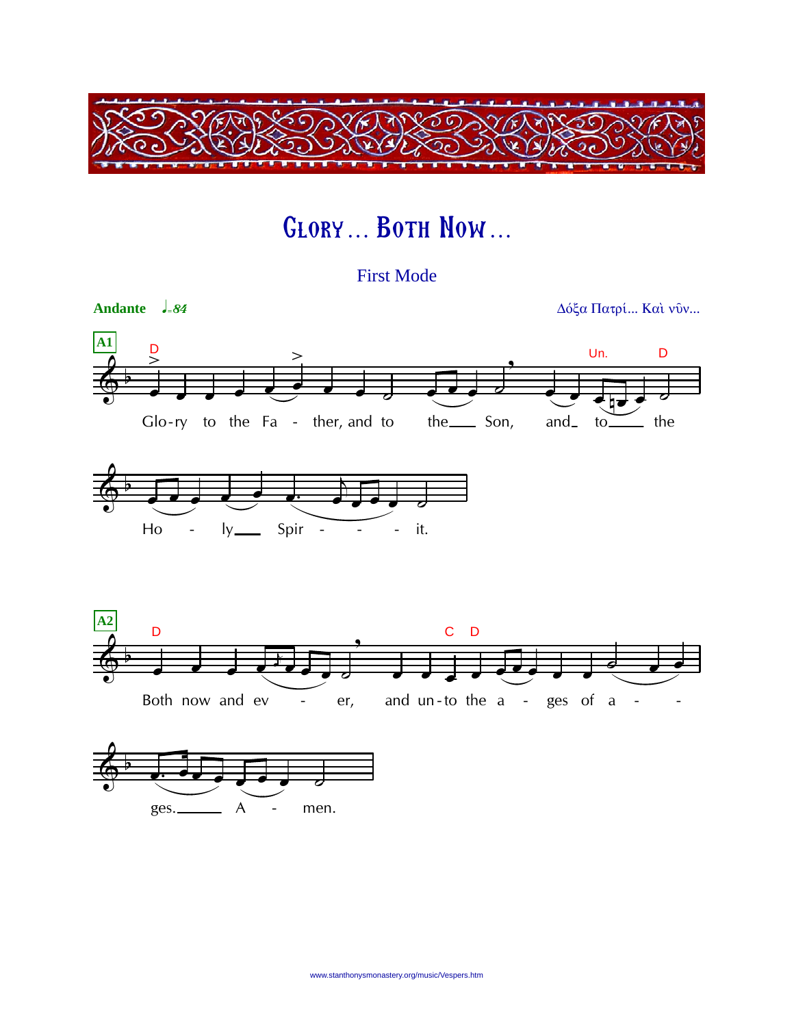

## GLORY... BOTH NOW...

**First Mode** 



 $A$ 

ges.

men.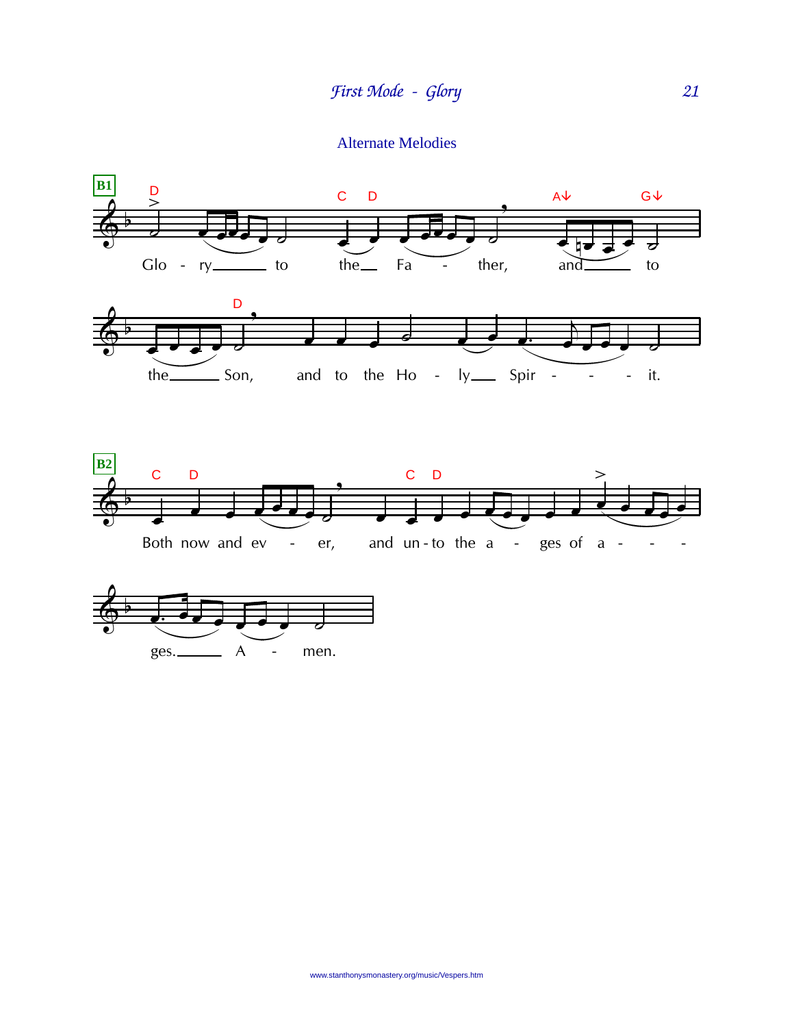**Alternate Melodies**